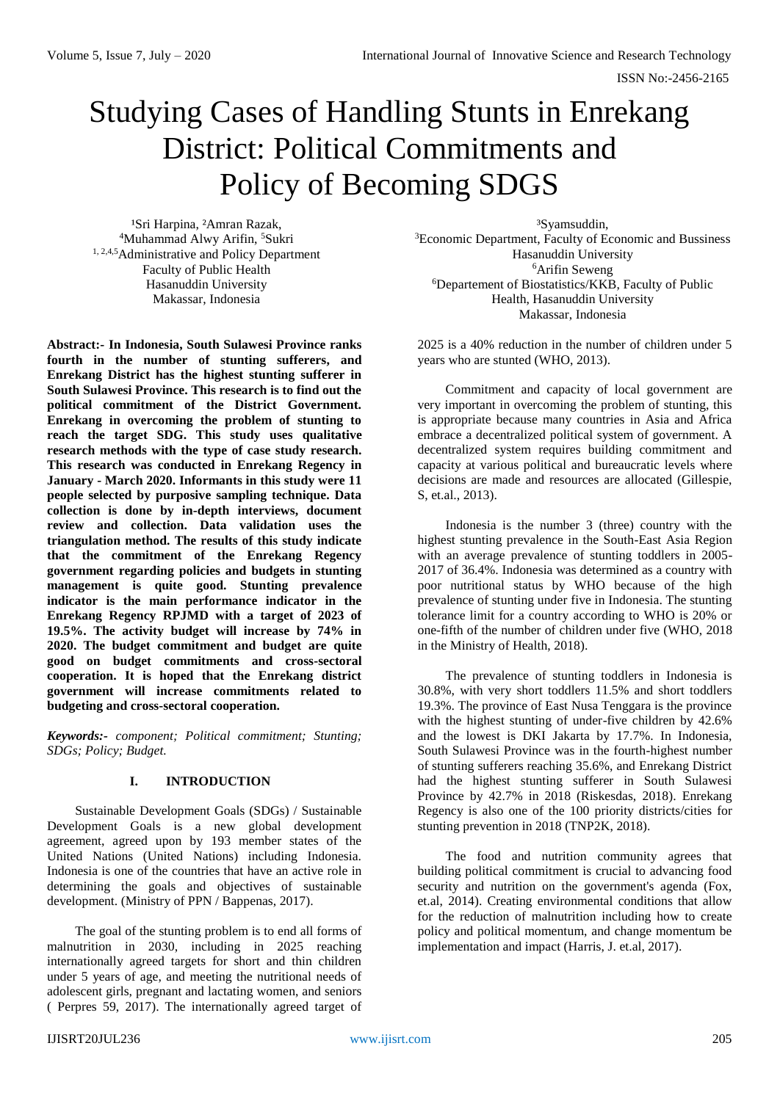# Studying Cases of Handling Stunts in Enrekang District: Political Commitments and Policy of Becoming SDGS

<sup>1</sup>Sri Harpina, <sup>2</sup>Amran Razak, <sup>4</sup>Muhammad Alwy Arifin, <sup>5</sup>Sukri <sup>1, 2,4,5</sup>Administrative and Policy Department Faculty of Public Health Hasanuddin University Makassar, Indonesia

**Abstract:- In Indonesia, South Sulawesi Province ranks fourth in the number of stunting sufferers, and Enrekang District has the highest stunting sufferer in South Sulawesi Province. This research is to find out the political commitment of the District Government. Enrekang in overcoming the problem of stunting to reach the target SDG. This study uses qualitative research methods with the type of case study research. This research was conducted in Enrekang Regency in January - March 2020. Informants in this study were 11 people selected by purposive sampling technique. Data collection is done by in-depth interviews, document review and collection. Data validation uses the triangulation method. The results of this study indicate that the commitment of the Enrekang Regency government regarding policies and budgets in stunting management is quite good. Stunting prevalence indicator is the main performance indicator in the Enrekang Regency RPJMD with a target of 2023 of 19.5%. The activity budget will increase by 74% in 2020. The budget commitment and budget are quite good on budget commitments and cross-sectoral cooperation. It is hoped that the Enrekang district government will increase commitments related to budgeting and cross-sectoral cooperation.**

*Keywords:- component; Political commitment; Stunting; SDGs; Policy; Budget.*

# **I. INTRODUCTION**

Sustainable Development Goals (SDGs) / Sustainable Development Goals is a new global development agreement, agreed upon by 193 member states of the United Nations (United Nations) including Indonesia. Indonesia is one of the countries that have an active role in determining the goals and objectives of sustainable development. (Ministry of PPN / Bappenas, 2017).

The goal of the stunting problem is to end all forms of malnutrition in 2030, including in 2025 reaching internationally agreed targets for short and thin children under 5 years of age, and meeting the nutritional needs of adolescent girls, pregnant and lactating women, and seniors ( Perpres 59, 2017). The internationally agreed target of

³Syamsuddin, <sup>3</sup>Economic Department, Faculty of Economic and Bussiness Hasanuddin University <sup>6</sup>Arifin Seweng <sup>6</sup>Departement of Biostatistics/KKB, Faculty of Public Health, Hasanuddin University Makassar, Indonesia

2025 is a 40% reduction in the number of children under 5 years who are stunted (WHO, 2013).

Commitment and capacity of local government are very important in overcoming the problem of stunting, this is appropriate because many countries in Asia and Africa embrace a decentralized political system of government. A decentralized system requires building commitment and capacity at various political and bureaucratic levels where decisions are made and resources are allocated (Gillespie, S, et.al., 2013).

Indonesia is the number 3 (three) country with the highest stunting prevalence in the South-East Asia Region with an average prevalence of stunting toddlers in 2005- 2017 of 36.4%. Indonesia was determined as a country with poor nutritional status by WHO because of the high prevalence of stunting under five in Indonesia. The stunting tolerance limit for a country according to WHO is 20% or one-fifth of the number of children under five (WHO, 2018 in the Ministry of Health, 2018).

The prevalence of stunting toddlers in Indonesia is 30.8%, with very short toddlers 11.5% and short toddlers 19.3%. The province of East Nusa Tenggara is the province with the highest stunting of under-five children by 42.6% and the lowest is DKI Jakarta by 17.7%. In Indonesia, South Sulawesi Province was in the fourth-highest number of stunting sufferers reaching 35.6%, and Enrekang District had the highest stunting sufferer in South Sulawesi Province by 42.7% in 2018 (Riskesdas, 2018). Enrekang Regency is also one of the 100 priority districts/cities for stunting prevention in 2018 (TNP2K, 2018).

The food and nutrition community agrees that building political commitment is crucial to advancing food security and nutrition on the government's agenda (Fox, et.al, 2014). Creating environmental conditions that allow for the reduction of malnutrition including how to create policy and political momentum, and change momentum be implementation and impact (Harris, J. et.al, 2017).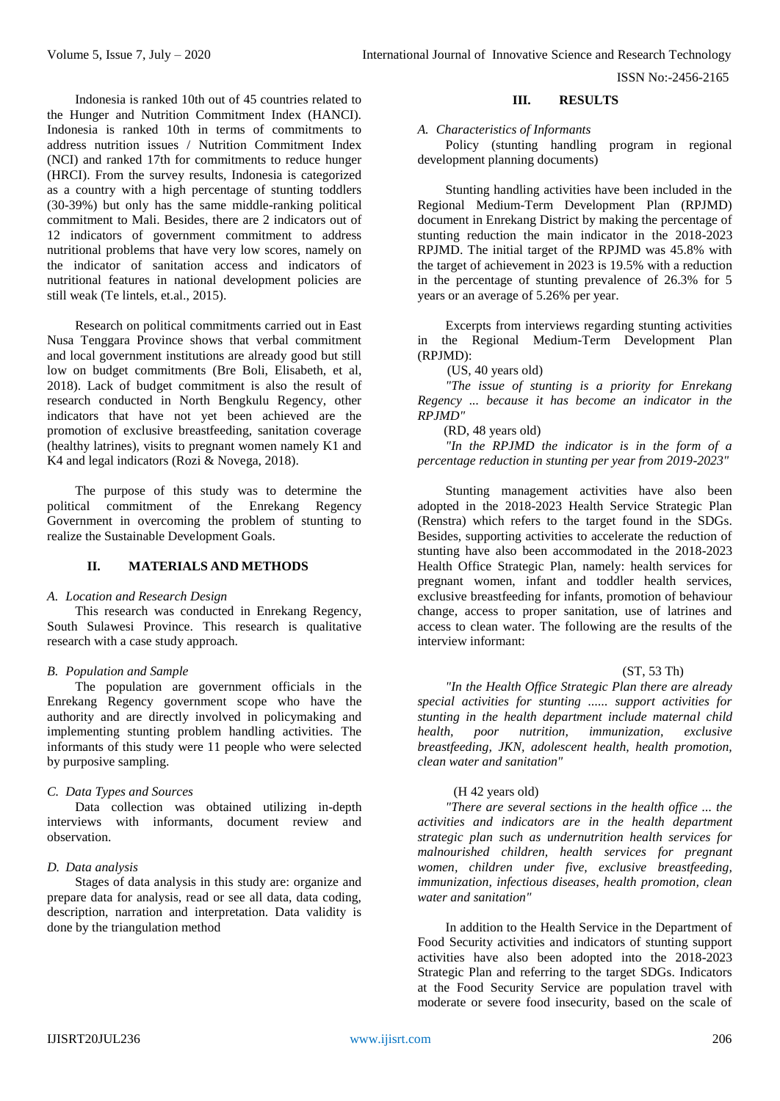Indonesia is ranked 10th out of 45 countries related to the Hunger and Nutrition Commitment Index (HANCI). Indonesia is ranked 10th in terms of commitments to address nutrition issues / Nutrition Commitment Index (NCI) and ranked 17th for commitments to reduce hunger (HRCI). From the survey results, Indonesia is categorized as a country with a high percentage of stunting toddlers (30-39%) but only has the same middle-ranking political commitment to Mali. Besides, there are 2 indicators out of 12 indicators of government commitment to address nutritional problems that have very low scores, namely on the indicator of sanitation access and indicators of nutritional features in national development policies are still weak (Te lintels, et.al., 2015).

Research on political commitments carried out in East Nusa Tenggara Province shows that verbal commitment and local government institutions are already good but still low on budget commitments (Bre Boli, Elisabeth, et al, 2018). Lack of budget commitment is also the result of research conducted in North Bengkulu Regency, other indicators that have not yet been achieved are the promotion of exclusive breastfeeding, sanitation coverage (healthy latrines), visits to pregnant women namely K1 and K4 and legal indicators (Rozi & Novega, 2018).

The purpose of this study was to determine the political commitment of the Enrekang Regency Government in overcoming the problem of stunting to realize the Sustainable Development Goals.

# **II. MATERIALS AND METHODS**

#### *A. Location and Research Design*

This research was conducted in Enrekang Regency, South Sulawesi Province. This research is qualitative research with a case study approach.

#### *B. Population and Sample*

The population are government officials in the Enrekang Regency government scope who have the authority and are directly involved in policymaking and implementing stunting problem handling activities. The informants of this study were 11 people who were selected by purposive sampling.

#### *C. Data Types and Sources*

Data collection was obtained utilizing in-depth interviews with informants, document review and observation.

### *D. Data analysis*

Stages of data analysis in this study are: organize and prepare data for analysis, read or see all data, data coding, description, narration and interpretation. Data validity is done by the triangulation method

#### **III. RESULTS**

#### *A. Characteristics of Informants*

Policy (stunting handling program in regional development planning documents)

Stunting handling activities have been included in the Regional Medium-Term Development Plan (RPJMD) document in Enrekang District by making the percentage of stunting reduction the main indicator in the 2018-2023 RPJMD. The initial target of the RPJMD was 45.8% with the target of achievement in 2023 is 19.5% with a reduction in the percentage of stunting prevalence of 26.3% for 5 years or an average of 5.26% per year.

Excerpts from interviews regarding stunting activities in the Regional Medium-Term Development Plan (RPJMD):

(US, 40 years old)

*"The issue of stunting is a priority for Enrekang Regency ... because it has become an indicator in the RPJMD"*

(RD, 48 years old)

*"In the RPJMD the indicator is in the form of a percentage reduction in stunting per year from 2019-2023"*

Stunting management activities have also been adopted in the 2018-2023 Health Service Strategic Plan (Renstra) which refers to the target found in the SDGs. Besides, supporting activities to accelerate the reduction of stunting have also been accommodated in the 2018-2023 Health Office Strategic Plan, namely: health services for pregnant women, infant and toddler health services, exclusive breastfeeding for infants, promotion of behaviour change, access to proper sanitation, use of latrines and access to clean water. The following are the results of the interview informant:

#### (ST, 53 Th)

*"In the Health Office Strategic Plan there are already special activities for stunting ...... support activities for stunting in the health department include maternal child health, poor nutrition, immunization, exclusive breastfeeding, JKN, adolescent health, health promotion, clean water and sanitation"*

#### (H 42 years old)

*"There are several sections in the health office ... the activities and indicators are in the health department strategic plan such as undernutrition health services for malnourished children, health services for pregnant women, children under five, exclusive breastfeeding, immunization, infectious diseases, health promotion, clean water and sanitation"*

In addition to the Health Service in the Department of Food Security activities and indicators of stunting support activities have also been adopted into the 2018-2023 Strategic Plan and referring to the target SDGs. Indicators at the Food Security Service are population travel with moderate or severe food insecurity, based on the scale of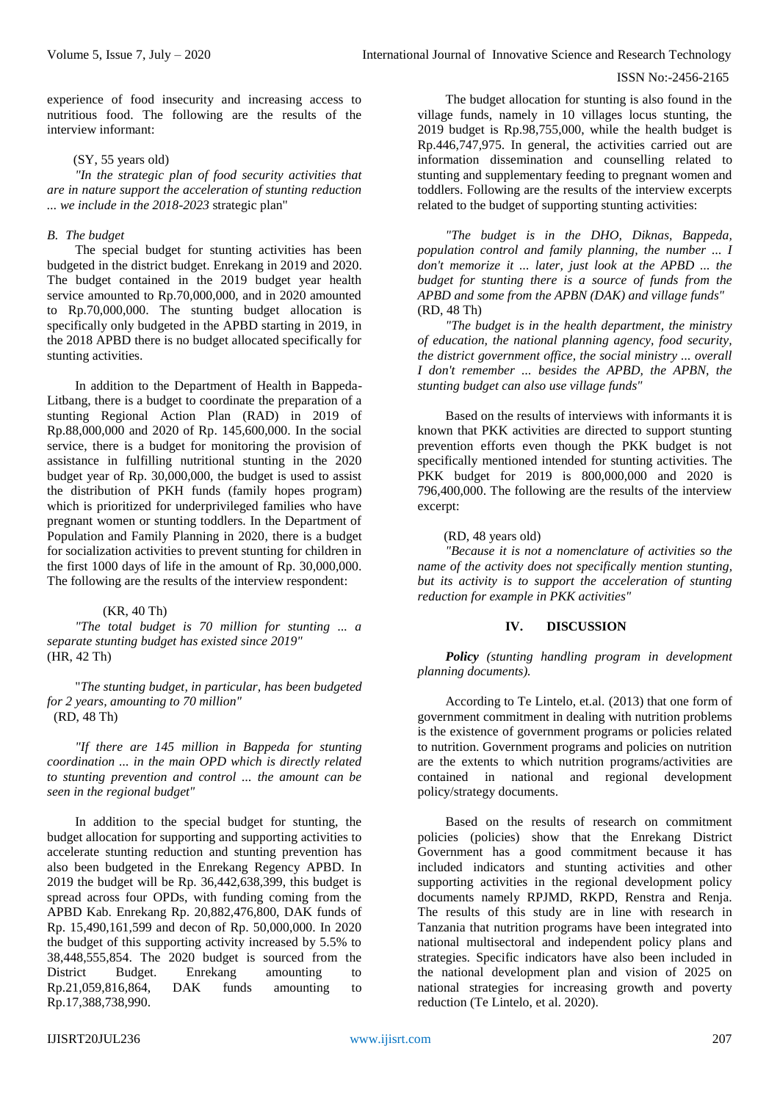experience of food insecurity and increasing access to nutritious food. The following are the results of the interview informant:

#### (SY, 55 years old)

*"In the strategic plan of food security activities that are in nature support the acceleration of stunting reduction ... we include in the 2018-2023* strategic plan"

#### *B. The budget*

The special budget for stunting activities has been budgeted in the district budget. Enrekang in 2019 and 2020. The budget contained in the 2019 budget year health service amounted to Rp.70,000,000, and in 2020 amounted to Rp.70,000,000. The stunting budget allocation is specifically only budgeted in the APBD starting in 2019, in the 2018 APBD there is no budget allocated specifically for stunting activities.

In addition to the Department of Health in Bappeda-Litbang, there is a budget to coordinate the preparation of a stunting Regional Action Plan (RAD) in 2019 of Rp.88,000,000 and 2020 of Rp. 145,600,000. In the social service, there is a budget for monitoring the provision of assistance in fulfilling nutritional stunting in the 2020 budget year of Rp. 30,000,000, the budget is used to assist the distribution of PKH funds (family hopes program) which is prioritized for underprivileged families who have pregnant women or stunting toddlers. In the Department of Population and Family Planning in 2020, there is a budget for socialization activities to prevent stunting for children in the first 1000 days of life in the amount of Rp. 30,000,000. The following are the results of the interview respondent:

# (KR, 40 Th)

*"The total budget is 70 million for stunting ... a separate stunting budget has existed since 2019"* (HR, 42 Th)

"*The stunting budget, in particular, has been budgeted for 2 years, amounting to 70 million"* (RD, 48 Th)

*"If there are 145 million in Bappeda for stunting coordination ... in the main OPD which is directly related to stunting prevention and control ... the amount can be seen in the regional budget"*

In addition to the special budget for stunting, the budget allocation for supporting and supporting activities to accelerate stunting reduction and stunting prevention has also been budgeted in the Enrekang Regency APBD. In 2019 the budget will be Rp. 36,442,638,399, this budget is spread across four OPDs, with funding coming from the APBD Kab. Enrekang Rp. 20,882,476,800, DAK funds of Rp. 15,490,161,599 and decon of Rp. 50,000,000. In 2020 the budget of this supporting activity increased by 5.5% to 38,448,555,854. The 2020 budget is sourced from the District Budget. Enrekang amounting to Rp.21,059,816,864, DAK funds amounting to Rp.17,388,738,990.

The budget allocation for stunting is also found in the village funds, namely in 10 villages locus stunting, the 2019 budget is Rp.98,755,000, while the health budget is Rp.446,747,975. In general, the activities carried out are information dissemination and counselling related to stunting and supplementary feeding to pregnant women and toddlers. Following are the results of the interview excerpts related to the budget of supporting stunting activities:

*"The budget is in the DHO, Diknas, Bappeda, population control and family planning, the number ... I don't memorize it ... later, just look at the APBD ... the budget for stunting there is a source of funds from the APBD and some from the APBN (DAK) and village funds"* (RD, 48 Th)

*"The budget is in the health department, the ministry of education, the national planning agency, food security, the district government office, the social ministry ... overall I don't remember ... besides the APBD, the APBN, the stunting budget can also use village funds"*

Based on the results of interviews with informants it is known that PKK activities are directed to support stunting prevention efforts even though the PKK budget is not specifically mentioned intended for stunting activities. The PKK budget for 2019 is 800,000,000 and 2020 is 796,400,000. The following are the results of the interview excerpt:

#### (RD, 48 years old)

*"Because it is not a nomenclature of activities so the name of the activity does not specifically mention stunting, but its activity is to support the acceleration of stunting reduction for example in PKK activities"*

# **IV. DISCUSSION**

*Policy (stunting handling program in development planning documents).*

According to Te Lintelo, et.al. (2013) that one form of government commitment in dealing with nutrition problems is the existence of government programs or policies related to nutrition. Government programs and policies on nutrition are the extents to which nutrition programs/activities are contained in national and regional development policy/strategy documents.

Based on the results of research on commitment policies (policies) show that the Enrekang District Government has a good commitment because it has included indicators and stunting activities and other supporting activities in the regional development policy documents namely RPJMD, RKPD, Renstra and Renja. The results of this study are in line with research in Tanzania that nutrition programs have been integrated into national multisectoral and independent policy plans and strategies. Specific indicators have also been included in the national development plan and vision of 2025 on national strategies for increasing growth and poverty reduction (Te Lintelo, et al. 2020).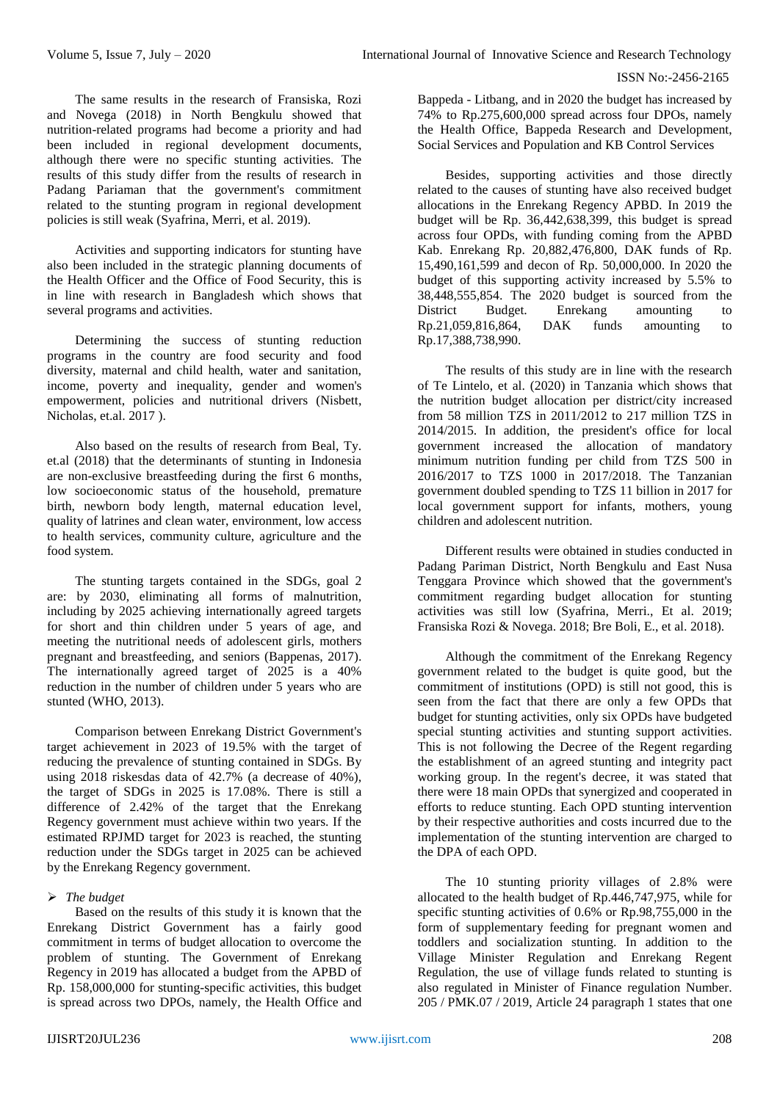The same results in the research of Fransiska, Rozi and Novega (2018) in North Bengkulu showed that nutrition-related programs had become a priority and had been included in regional development documents, although there were no specific stunting activities. The results of this study differ from the results of research in Padang Pariaman that the government's commitment related to the stunting program in regional development policies is still weak (Syafrina, Merri, et al. 2019).

Activities and supporting indicators for stunting have also been included in the strategic planning documents of the Health Officer and the Office of Food Security, this is in line with research in Bangladesh which shows that several programs and activities.

Determining the success of stunting reduction programs in the country are food security and food diversity, maternal and child health, water and sanitation, income, poverty and inequality, gender and women's empowerment, policies and nutritional drivers (Nisbett, Nicholas, et.al. 2017 ).

Also based on the results of research from Beal, Ty. et.al (2018) that the determinants of stunting in Indonesia are non-exclusive breastfeeding during the first 6 months, low socioeconomic status of the household, premature birth, newborn body length, maternal education level, quality of latrines and clean water, environment, low access to health services, community culture, agriculture and the food system.

The stunting targets contained in the SDGs, goal 2 are: by 2030, eliminating all forms of malnutrition, including by 2025 achieving internationally agreed targets for short and thin children under 5 years of age, and meeting the nutritional needs of adolescent girls, mothers pregnant and breastfeeding, and seniors (Bappenas, 2017). The internationally agreed target of 2025 is a 40% reduction in the number of children under 5 years who are stunted (WHO, 2013).

Comparison between Enrekang District Government's target achievement in 2023 of 19.5% with the target of reducing the prevalence of stunting contained in SDGs. By using 2018 riskesdas data of 42.7% (a decrease of 40%), the target of SDGs in 2025 is 17.08%. There is still a difference of 2.42% of the target that the Enrekang Regency government must achieve within two years. If the estimated RPJMD target for 2023 is reached, the stunting reduction under the SDGs target in 2025 can be achieved by the Enrekang Regency government.

# *The budget*

Based on the results of this study it is known that the Enrekang District Government has a fairly good commitment in terms of budget allocation to overcome the problem of stunting. The Government of Enrekang Regency in 2019 has allocated a budget from the APBD of Rp. 158,000,000 for stunting-specific activities, this budget is spread across two DPOs, namely, the Health Office and

Bappeda - Litbang, and in 2020 the budget has increased by 74% to Rp.275,600,000 spread across four DPOs, namely the Health Office, Bappeda Research and Development, Social Services and Population and KB Control Services

Besides, supporting activities and those directly related to the causes of stunting have also received budget allocations in the Enrekang Regency APBD. In 2019 the budget will be Rp. 36,442,638,399, this budget is spread across four OPDs, with funding coming from the APBD Kab. Enrekang Rp. 20,882,476,800, DAK funds of Rp. 15,490,161,599 and decon of Rp. 50,000,000. In 2020 the budget of this supporting activity increased by 5.5% to 38,448,555,854. The 2020 budget is sourced from the Budget. Enrekang amounting to Rp.21,059,816,864, DAK funds amounting to Rp.17,388,738,990.

The results of this study are in line with the research of Te Lintelo, et al. (2020) in Tanzania which shows that the nutrition budget allocation per district/city increased from 58 million TZS in 2011/2012 to 217 million TZS in 2014/2015. In addition, the president's office for local government increased the allocation of mandatory minimum nutrition funding per child from TZS 500 in 2016/2017 to TZS 1000 in 2017/2018. The Tanzanian government doubled spending to TZS 11 billion in 2017 for local government support for infants, mothers, young children and adolescent nutrition.

Different results were obtained in studies conducted in Padang Pariman District, North Bengkulu and East Nusa Tenggara Province which showed that the government's commitment regarding budget allocation for stunting activities was still low (Syafrina, Merri., Et al. 2019; Fransiska Rozi & Novega. 2018; Bre Boli, E., et al. 2018).

Although the commitment of the Enrekang Regency government related to the budget is quite good, but the commitment of institutions (OPD) is still not good, this is seen from the fact that there are only a few OPDs that budget for stunting activities, only six OPDs have budgeted special stunting activities and stunting support activities. This is not following the Decree of the Regent regarding the establishment of an agreed stunting and integrity pact working group. In the regent's decree, it was stated that there were 18 main OPDs that synergized and cooperated in efforts to reduce stunting. Each OPD stunting intervention by their respective authorities and costs incurred due to the implementation of the stunting intervention are charged to the DPA of each OPD.

The 10 stunting priority villages of 2.8% were allocated to the health budget of Rp.446,747,975, while for specific stunting activities of 0.6% or Rp.98,755,000 in the form of supplementary feeding for pregnant women and toddlers and socialization stunting. In addition to the Village Minister Regulation and Enrekang Regent Regulation, the use of village funds related to stunting is also regulated in Minister of Finance regulation Number. 205 / PMK.07 / 2019, Article 24 paragraph 1 states that one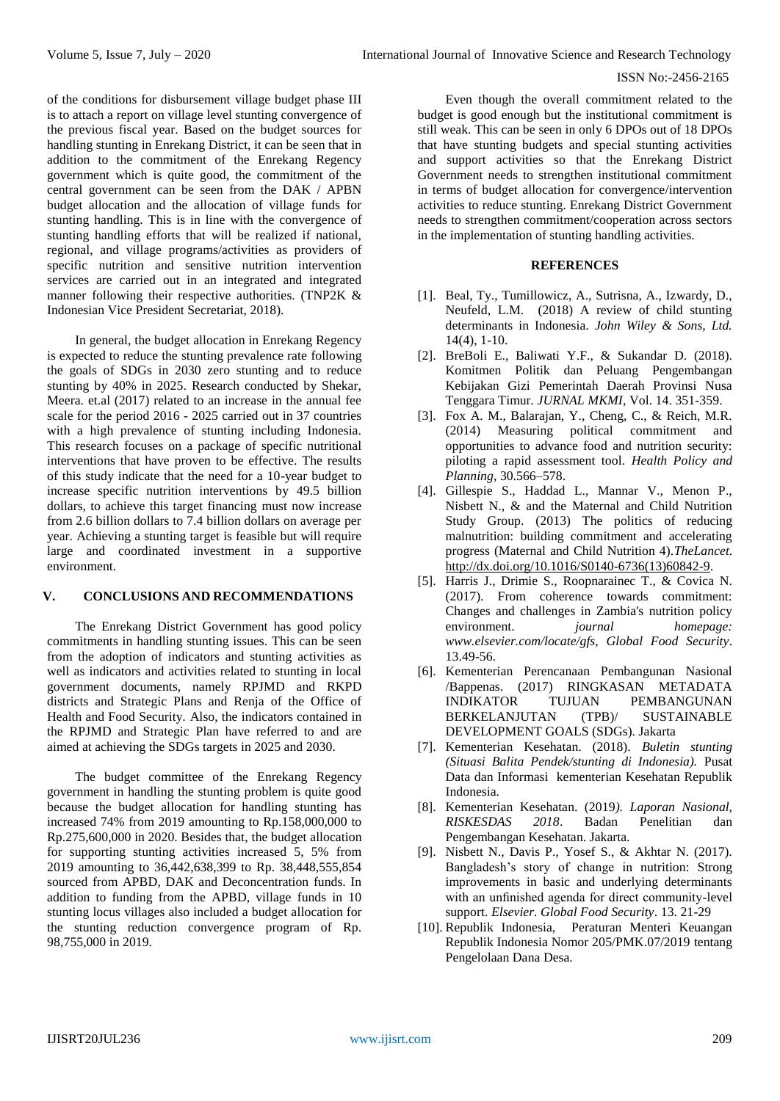of the conditions for disbursement village budget phase III is to attach a report on village level stunting convergence of the previous fiscal year. Based on the budget sources for handling stunting in Enrekang District, it can be seen that in addition to the commitment of the Enrekang Regency government which is quite good, the commitment of the central government can be seen from the DAK / APBN budget allocation and the allocation of village funds for stunting handling. This is in line with the convergence of stunting handling efforts that will be realized if national, regional, and village programs/activities as providers of specific nutrition and sensitive nutrition intervention services are carried out in an integrated and integrated manner following their respective authorities. (TNP2K & Indonesian Vice President Secretariat, 2018).

In general, the budget allocation in Enrekang Regency is expected to reduce the stunting prevalence rate following the goals of SDGs in 2030 zero stunting and to reduce stunting by 40% in 2025. Research conducted by Shekar, Meera. et.al (2017) related to an increase in the annual fee scale for the period 2016 - 2025 carried out in 37 countries with a high prevalence of stunting including Indonesia. This research focuses on a package of specific nutritional interventions that have proven to be effective. The results of this study indicate that the need for a 10-year budget to increase specific nutrition interventions by 49.5 billion dollars, to achieve this target financing must now increase from 2.6 billion dollars to 7.4 billion dollars on average per year. Achieving a stunting target is feasible but will require large and coordinated investment in a supportive environment.

# **V. CONCLUSIONS AND RECOMMENDATIONS**

The Enrekang District Government has good policy commitments in handling stunting issues. This can be seen from the adoption of indicators and stunting activities as well as indicators and activities related to stunting in local government documents, namely RPJMD and RKPD districts and Strategic Plans and Renja of the Office of Health and Food Security. Also, the indicators contained in the RPJMD and Strategic Plan have referred to and are aimed at achieving the SDGs targets in 2025 and 2030.

The budget committee of the Enrekang Regency government in handling the stunting problem is quite good because the budget allocation for handling stunting has increased 74% from 2019 amounting to Rp.158,000,000 to Rp.275,600,000 in 2020. Besides that, the budget allocation for supporting stunting activities increased 5, 5% from 2019 amounting to 36,442,638,399 to Rp. 38,448,555,854 sourced from APBD, DAK and Deconcentration funds. In addition to funding from the APBD, village funds in 10 stunting locus villages also included a budget allocation for the stunting reduction convergence program of Rp. 98,755,000 in 2019.

Even though the overall commitment related to the budget is good enough but the institutional commitment is still weak. This can be seen in only 6 DPOs out of 18 DPOs that have stunting budgets and special stunting activities and support activities so that the Enrekang District Government needs to strengthen institutional commitment in terms of budget allocation for convergence/intervention activities to reduce stunting. Enrekang District Government needs to strengthen commitment/cooperation across sectors in the implementation of stunting handling activities.

# **REFERENCES**

- [1]. Beal, Ty., Tumillowicz, A., Sutrisna, A., Izwardy, D., Neufeld, L.M. (2018) A review of child stunting determinants in Indonesia. *John Wiley & Sons, Ltd.* 14(4), 1-10.
- [2]. BreBoli E., Baliwati Y.F., & Sukandar D. (2018). Komitmen Politik dan Peluang Pengembangan Kebijakan Gizi Pemerintah Daerah Provinsi Nusa Tenggara Timur*. JURNAL MKMI*, Vol. 14. 351-359.
- [3]. Fox A. M., Balarajan, Y., Cheng, C., & Reich, M.R. (2014) Measuring political commitment and opportunities to advance food and nutrition security: piloting a rapid assessment tool. *Health Policy and Planning*, 30.566–578.
- [4]. Gillespie S., Haddad L., Mannar V., Menon P., Nisbett N., & and the Maternal and Child Nutrition Study Group. (2013) The politics of reducing malnutrition: building commitment and accelerating progress (Maternal and Child Nutrition 4).*TheLancet*. [http://dx.doi.org/10.1016/S0140-6736\(13\)60842-9.](http://dx.doi.org/10.1016/S0140-6736(13)60842-9)
- [5]. Harris J., Drimie S., Roopnarainec T., & Covica N. (2017). From coherence towards commitment: Changes and challenges in Zambia's nutrition policy environment. *journal homepage: www.elsevier.com/locate/gfs, Global Food Security*. 13.49-56.
- [6]. Kementerian Perencanaan Pembangunan Nasional /Bappenas. (2017) RINGKASAN METADATA INDIKATOR TUJUAN PEMBANGUNAN BERKELANJUTAN (TPB)/ SUSTAINABLE DEVELOPMENT GOALS (SDGs). Jakarta
- [7]. Kementerian Kesehatan. (2018). *Buletin stunting (Situasi Balita Pendek/stunting di Indonesia).* Pusat Data dan Informasi kementerian Kesehatan Republik Indonesia.
- [8]. Kementerian Kesehatan. (2019*). Laporan Nasional, RISKESDAS 2018*. Badan Penelitian dan Pengembangan Kesehatan. Jakarta.
- [9]. Nisbett N., Davis P., Yosef S., & Akhtar N. (2017). Bangladesh's story of change in nutrition: Strong improvements in basic and underlying determinants with an unfinished agenda for direct community-level support. *Elsevier. Global Food Security*. 13. 21-29
- [10]. Republik Indonesia, Peraturan Menteri Keuangan Republik Indonesia Nomor 205/PMK.07/2019 tentang Pengelolaan Dana Desa.